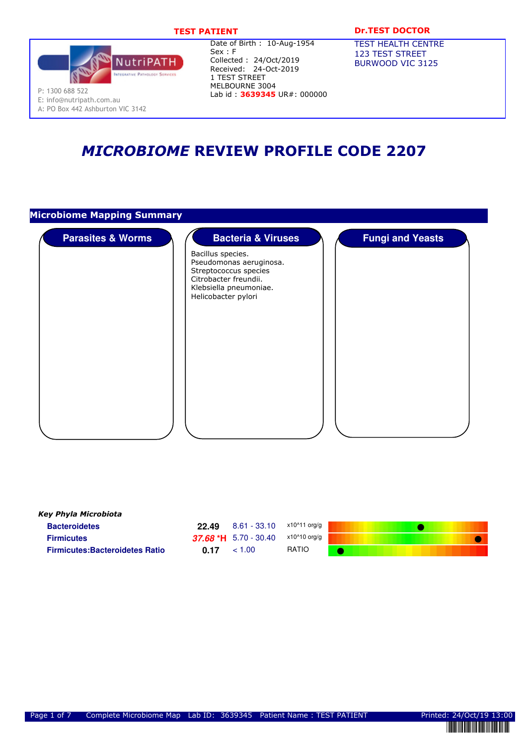

### **TEST PATIENT DESCRIPTION DESCRIPTION DESCRIPTION DESCRIPTION OF A LIMIT DESCRIPTION OF A LIMIT DESCRIPTION OF A LIMIT OF A LIMIT OF A LIMIT OF A LIMIT OF A LIMIT OF A LIMIT OF A LIMIT OF A LIMIT OF A LIMIT OF A LIMIT OF A**

TEST HEALTH CENTRE 123 TEST STREET BURWOOD VIC 3125

E: info@nutripath.com.au A: PO Box 442 Ashburton VIC 3142

## *MICROBIOME* **REVIEW PROFILE CODE 2207**



| <b>Key Phyla Microbiota</b>           |       |                                            |              |  |
|---------------------------------------|-------|--------------------------------------------|--------------|--|
| <b>Bacteroidetes</b>                  | 22.49 | 8.61 - 33.10                               | x10^11 org/g |  |
| <b>Firmicutes</b>                     |       | 37.68 *H 5.70 - 30.40 $\times$ 10^10 org/g |              |  |
| <b>Firmicutes:Bacteroidetes Ratio</b> | 0.17  | < 1.00                                     | <b>RATIO</b> |  |
|                                       |       |                                            |              |  |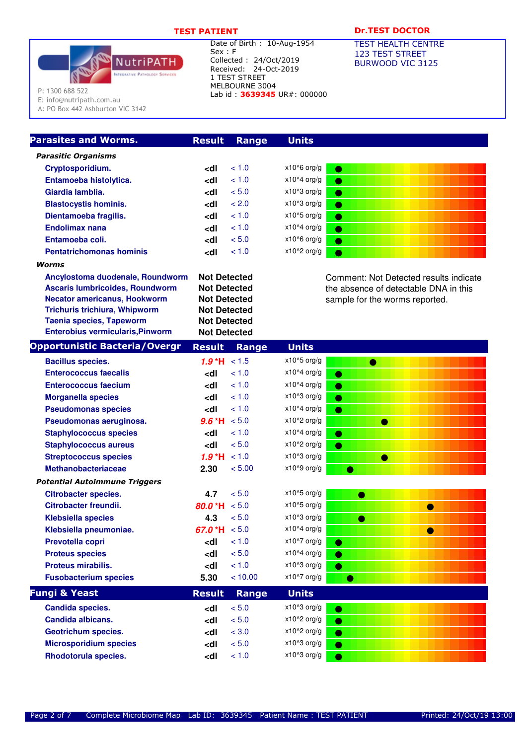

### **TEST PATIENT DESCRIPTION DESCRIPTION DESCRIPTION DESCRIPTION OF A LIMIT DESCRIPTION OF A LIMIT DESCRIPTION OF A LIMIT OF A LIMIT OF A LIMIT OF A LIMIT OF A LIMIT OF A LIMIT OF A LIMIT OF A LIMIT OF A LIMIT OF A LIMIT OF A**

TEST HEALTH CENTRE 123 TEST STREET BURWOOD VIC 3125

P: 1300 688 522

E: info@nutripath.com.au A: PO Box 442 Ashburton VIC 3142

### **Parasites and Worms. Result Range Units**

| <b>Parasitic Organisms</b>              |                                                                                |                     |                 |     |
|-----------------------------------------|--------------------------------------------------------------------------------|---------------------|-----------------|-----|
| Cryptosporidium.                        | ⊲dl                                                                            | < 1.0               | $x106$ org/g    |     |
| Entamoeba histolytica.                  | ⊲dl                                                                            | < 1.0               | $x10^4$ org/g   |     |
| Giardia lamblia.                        | kdl                                                                            | < 5.0               | $x10^{3}$ org/g |     |
| <b>Blastocystis hominis.</b>            | <dl< th=""><th>&lt; 2.0</th><th><math>x10^{3}</math> org/g</th><th></th></dl<> | < 2.0               | $x10^{3}$ org/g |     |
| Dientamoeba fragilis.                   | ⊲dl                                                                            | ~1.0                | $x1065$ org/g   |     |
| Endolimax nana                          | kdl                                                                            | < 1.0               | $x10^{4}$ org/g |     |
| Entamoeba coli.                         | ⊲dl                                                                            | < 5.0               | $x106$ org/g    |     |
| <b>Pentatrichomonas hominis</b>         | ⊲dl                                                                            | < 1.0               | $x10^{2}$ org/g |     |
| <b>Worms</b>                            |                                                                                |                     |                 |     |
| Ancylostoma duodenale, Roundworm        |                                                                                | <b>Not Detected</b> |                 | Com |
| <b>Ascaris lumbricoides, Roundworm</b>  | <b>Not Detected</b>                                                            |                     | the a           |     |
| <b>Necator americanus, Hookworm</b>     |                                                                                | <b>Not Detected</b> |                 | sam |
| <b>Trichuris trichiura, Whipworm</b>    |                                                                                | <b>Not Detected</b> |                 |     |
| <b>Taenia species, Tapeworm</b>         |                                                                                | <b>Not Detected</b> |                 |     |
| <b>Enterobius vermicularis, Pinworm</b> |                                                                                | <b>Not Detected</b> |                 |     |

**Comment: Not Detected results indicate** the absence of detectable DNA in this sample for the worms reported.

| <b>Opportunistic Bacteria/Overgr</b> | <b>Result</b>                                                                                    | <b>Range</b> | <b>Units</b>         |           |
|--------------------------------------|--------------------------------------------------------------------------------------------------|--------------|----------------------|-----------|
| <b>Bacillus species.</b>             | $1.9*$ H                                                                                         | < 1.5        | x10^5 org/g          | $\bullet$ |
| <b>Enterococcus faecalis</b>         | <dl< th=""><th>&lt; 1.0</th><th><math>x10^4</math> org/g</th><th><math>\bullet</math></th></dl<> | < 1.0        | $x10^4$ org/g        | $\bullet$ |
| <b>Enterococcus faecium</b>          | <dl< th=""><th>&lt; 1.0</th><th><math>x10^4</math> org/g</th><th><math>\bullet</math></th></dl<> | < 1.0        | $x10^4$ org/g        | $\bullet$ |
| <b>Morganella species</b>            | <dl< th=""><th>&lt; 1.0</th><th>x10^3 org/g</th><th><math>\bullet</math></th></dl<>              | < 1.0        | x10^3 org/g          | $\bullet$ |
| <b>Pseudomonas species</b>           | <dl< th=""><th>&lt; 1.0</th><th><math>x10^4</math> org/g</th><th><math>\bullet</math></th></dl<> | < 1.0        | $x10^4$ org/g        | $\bullet$ |
| Pseudomonas aeruginosa.              | $9.6*$ H                                                                                         | < 5.0        | $x10^2$ org/g        | $\bullet$ |
| <b>Staphylococcus species</b>        | <dl< th=""><th>&lt; 1.0</th><th><math>x10^4</math> org/g</th><th><math>\bullet</math></th></dl<> | < 1.0        | $x10^4$ org/g        | $\bullet$ |
| <b>Staphylococcus aureus</b>         | <dl< th=""><th>&lt; 5.0</th><th><math>x10^2</math> org/g</th><th><math>\bullet</math></th></dl<> | < 5.0        | $x10^2$ org/g        | $\bullet$ |
| <b>Streptococcus species</b>         | $1.9*H$                                                                                          | < 1.0        | x10^3 org/g          | $\bullet$ |
| <b>Methanobacteriaceae</b>           | 2.30                                                                                             | < 5.00       | $x10^{9}$ org/g      | $\bullet$ |
| <b>Potential Autoimmune Triggers</b> |                                                                                                  |              |                      |           |
| <b>Citrobacter species.</b>          | 4.7                                                                                              | < 5.0        | x10^5 org/g          | $\bullet$ |
| Citrobacter freundii.                | 80.0 *H                                                                                          | < 5.0        | $x1045$ org/g        | $\bullet$ |
| <b>Klebsiella species</b>            | 4.3                                                                                              | < 5.0        | $x10^{\circ}3$ org/g | $\bullet$ |
| Klebsiella pneumoniae.               | 67.0 *H                                                                                          | < 5.0        | x10^4 org/g          | $\bullet$ |
| Prevotella copri                     | <dl< th=""><th>&lt; 1.0</th><th>x10^7 org/g</th><th><math>\bullet</math></th></dl<>              | < 1.0        | x10^7 org/g          | $\bullet$ |
| <b>Proteus species</b>               | <dl< th=""><th>&lt; 5.0</th><th><math>x10^4</math> org/g</th><th><math>\bullet</math></th></dl<> | < 5.0        | $x10^4$ org/g        | $\bullet$ |
| Proteus mirabilis.                   | <dl< th=""><th>&lt; 1.0</th><th>x10^3 org/g</th><th><math>\bullet</math></th></dl<>              | < 1.0        | x10^3 org/g          | $\bullet$ |
| <b>Fusobacterium species</b>         | 5.30                                                                                             | < 10.00      | x10^7 org/g          | $\bullet$ |
| <b>Fungi &amp; Yeast</b>             | <b>Result</b>                                                                                    | Range        | <b>Units</b>         |           |
| <b>Candida species.</b>              | <dl< th=""><td>&lt; 5.0</td><td>x10^3 org/g</td><td><math>\bullet</math></td></dl<>              | < 5.0        | x10^3 org/g          | $\bullet$ |
| Candida albicans.                    | <dl< th=""><th>&lt; 5.0</th><th>x10^2 org/g</th><th><math>\bullet</math></th></dl<>              | < 5.0        | x10^2 org/g          | $\bullet$ |
| <b>Geotrichum species.</b>           | <dl< th=""><th>&lt; 3.0</th><th><math>x10^2</math> org/g</th><th><math>\bullet</math></th></dl<> | < 3.0        | $x10^2$ org/g        | $\bullet$ |
| <b>Microsporidium species</b>        | <dl< th=""><th>&lt; 5.0</th><th>x10^3 org/g</th><th><math>\bullet</math></th></dl<>              | < 5.0        | x10^3 org/g          | $\bullet$ |
| Rhodotorula species.                 | <dl< th=""><th>&lt; 1.0</th><th>x10^3 org/g</th><th><math>\bullet</math></th></dl<>              | < 1.0        | x10^3 org/g          | $\bullet$ |
|                                      |                                                                                                  |              |                      |           |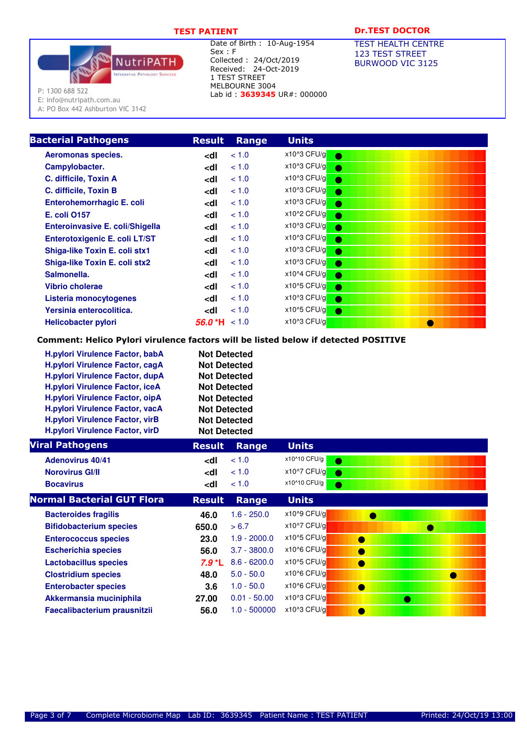

### **TEST PATIENT CONTROLLER PATIENT DESCRIPTION DESCRIPTION DESCRIPTION OF A LIMIT DETAIL OF A LIMIT DE LA LIMITATION DE LA LIMITATION DE LA LIMITATION DE LA LIMITATION DE LA LIMITATION DE LA LIMITATION DE LA LIMITATION DE LA**

TEST HEALTH CENTRE 123 TEST STREET BURWOOD VIC 3125

P: 1300 688 522

E: info@nutripath.com.au A: PO Box 442 Ashburton VIC 3142

### **Bacterial Pathogens Result Range Units Aeromonas species.**  $\left\{\text{dl} \right\} < 1.0$  x10^3 CFU/g  $\bullet$ **Campylobacter.**  $\left\{\text{cd}\right\}$  < 1.0 x10^3 CFU/g -**C. difficile, Toxin A**  $\text{cd}$   $\text{cd}$   $\text{d}$   $\text{d}$   $\text{d}$   $\text{d}$   $\text{d}$   $\text{d}$   $\text{d}$   $\text{d}$   $\text{d}$   $\text{d}$   $\text{d}$   $\text{d}$   $\text{d}$   $\text{d}$   $\text{d}$   $\text{d}$   $\text{d}$   $\text{d}$   $\text{d}$   $\text{d}$   $\text{d}$   $\text{d}$   $\text{d$ **C. difficile, Toxin B**  $\text{cd}$   $\text{d}$   $\text{d}$   $\text{d}$   $\text{d}$   $\text{d}$   $\text{d}$   $\text{d}$   $\text{d}$   $\text{d}$   $\text{d}$   $\text{d}$   $\text{d}$   $\text{d}$   $\text{d}$   $\text{d}$   $\text{d}$   $\text{d}$   $\text{d}$   $\text{d}$   $\text{d}$   $\text{d}$   $\text{d}$   $\text{d}$   $\text{d$ Enterohemorrhagic E. coli <dl < 1.0 x10^3 CFU/g -**E. coli 0157**  $\leq$ **dl**  $\leq$  1.0  $\qquad$  x10^2 CFU/g **e Enteroinvasive E. coli/Shigella cdl** < 1.0 x10^3 CFU/g **cdl Enterotoxigenic E. coli LT/ST** <1.0 x10^3 CFU/g -**Shiga-like Toxin E. coli stx1**<br> **Shiga-like Toxin E. coli stx2**<br> **cdl** < 1.0 x10^3 CFU/g - and state coli stx2 and cdl < 1.0 x10^3 CFU/g **Shiga-like Toxin E. coli stx2 <dl** < 1.0 x10^3 CFU/g -**Salmonella. Salmonella. Example 201** x10^4 CFU/g **C Vibrio cholerae a vicing the contract**  $\mathbf{d} \mathbf{l}$  $\mathbf{d} \mathbf{l}$  $\mathbf{d} \mathbf{l}$  $\mathbf{d} \mathbf{l}$  $\mathbf{d} \mathbf{l}$  $\mathbf{d} \mathbf{l} \mathbf{d} \mathbf{l}$  $\mathbf{d} \mathbf{l} \mathbf{d} \mathbf{l}$  $\mathbf{d} \mathbf{l} \mathbf{l}$  $\mathbf{d} \mathbf{l} \mathbf{l}$  $\mathbf{d} \mathbf{l} \mathbf{l}$  **\ Listeria monocytogenes**<br> **Yersinia enterocolitica.**<br> **Cdl** < 1.0 x10^3 CFU/g -<br> **Cdl** < 1.0 x10^5 CFU/g **Yersinia enterocolitica.**  $\left\{\text{cyl} \sim 1.0 \right. \times 10^{6} \text{ } \text{C} \text{FU/g} \right\}$  **Helicobacter pylori 56.0 \*H** < 1.0 x10^3 CFU/g

**Comment: Helico Pylori virulence factors will be listed below if detected POSITIVE**

| H.pylori Virulence Factor, babA | <b>Not Detected</b> |
|---------------------------------|---------------------|
| H.pylori Virulence Factor, cagA | <b>Not Detected</b> |
| H.pylori Virulence Factor, dupA | <b>Not Detected</b> |
| H.pylori Virulence Factor, iceA | <b>Not Detected</b> |
| H.pylori Virulence Factor, oipA | <b>Not Detected</b> |
| H.pylori Virulence Factor, vacA | <b>Not Detected</b> |
| H.pylori Virulence Factor, virB | <b>Not Detected</b> |
| H.pylori Virulence Factor, virD | <b>Not Detected</b> |

| <b>Result</b>                                           | <b>Range</b>   | <b>Units</b>             |
|---------------------------------------------------------|----------------|--------------------------|
| dl>                                                     | < 1.0          | x10^10 CFU/g             |
| <dl< th=""><td>&lt; 1.0</td><td>x10^7 CFU/g</td></dl<>  | < 1.0          | x10^7 CFU/g              |
| <dl< th=""><td>&lt; 1.0</td><td>x10^10 CFU/g</td></dl<> | < 1.0          | x10^10 CFU/g             |
| <b>Result</b>                                           | Range          | <b>Units</b>             |
| 46.0                                                    | $1.6 - 250.0$  | x10^9 CFU/g              |
| 650.0                                                   | > 6.7          | x10^7 CFU/q              |
| 23.0                                                    | $1.9 - 2000.0$ | x10^5 CFU/g<br>$\bullet$ |
| 56.0                                                    | $3.7 - 3800.0$ | x10^6 CFU/q<br>$\bullet$ |
| $7.9*$ L                                                | $8.6 - 6200.0$ | x10^5 CFU/g<br>$\bullet$ |
| 48.0                                                    | $5.0 - 50.0$   | x10^6 CFU/q<br>$\bullet$ |
| 3.6                                                     | $1.0 - 50.0$   | x10^6 CFU/q<br>$\bullet$ |
| 27.00                                                   | $0.01 - 50.00$ | x10^3 CFU/g              |
| 56.0                                                    | $1.0 - 500000$ | x10^3 CFU/g<br>C         |
|                                                         |                |                          |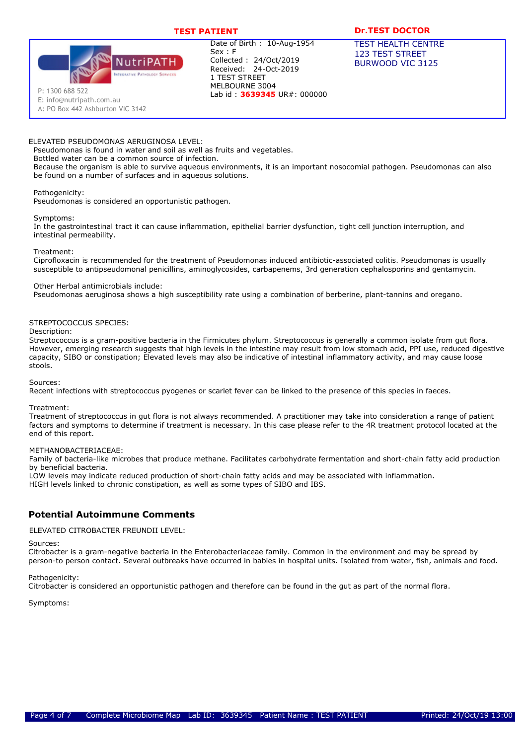

### **TEST PATIENT Dr.TEST DOCTOR**

TEST HEALTH CENTRE 123 TEST STREET BURWOOD VIC 3125

E: info@nutripath.com.au A: PO Box 442 Ashburton VIC 3142

### ELEVATED PSEUDOMONAS AERUGINOSA LEVEL:

Pseudomonas is found in water and soil as well as fruits and vegetables.

Bottled water can be a common source of infection.

 Because the organism is able to survive aqueous environments, it is an important nosocomial pathogen. Pseudomonas can also be found on a number of surfaces and in aqueous solutions.

### Pathogenicity:

Pseudomonas is considered an opportunistic pathogen.

Symptoms:

 In the gastrointestinal tract it can cause inflammation, epithelial barrier dysfunction, tight cell junction interruption, and intestinal permeability.

Treatment:

 Ciprofloxacin is recommended for the treatment of Pseudomonas induced antibiotic-associated colitis. Pseudomonas is usually susceptible to antipseudomonal penicillins, aminoglycosides, carbapenems, 3rd generation cephalosporins and gentamycin.

### Other Herbal antimicrobials include:

Pseudomonas aeruginosa shows a high susceptibility rate using a combination of berberine, plant-tannins and oregano.

### STREPTOCOCCUS SPECIES:

### Description:

Streptococcus is a gram-positive bacteria in the Firmicutes phylum. Streptococcus is generally a common isolate from gut flora. However, emerging research suggests that high levels in the intestine may result from low stomach acid, PPI use, reduced digestive capacity, SIBO or constipation; Elevated levels may also be indicative of intestinal inflammatory activity, and may cause loose stools.

### Sources:

Recent infections with streptococcus pyogenes or scarlet fever can be linked to the presence of this species in faeces.

### Treatment:

Treatment of streptococcus in gut flora is not always recommended. A practitioner may take into consideration a range of patient factors and symptoms to determine if treatment is necessary. In this case please refer to the 4R treatment protocol located at the end of this report.

### METHANOBACTERIACEAE:

Family of bacteria-like microbes that produce methane. Facilitates carbohydrate fermentation and short-chain fatty acid production by beneficial bacteria.

LOW levels may indicate reduced production of short-chain fatty acids and may be associated with inflammation.

HIGH levels linked to chronic constipation, as well as some types of SIBO and IBS.

### **Potential Autoimmune Comments**

### ELEVATED CITROBACTER FREUNDII LEVEL:

Sources:

 Citrobacter is a gram-negative bacteria in the Enterobacteriaceae family. Common in the environment and may be spread by person-to person contact. Several outbreaks have occurred in babies in hospital units. Isolated from water, fish, animals and food.

Pathogenicity:

Citrobacter is considered an opportunistic pathogen and therefore can be found in the gut as part of the normal flora.

Symptoms: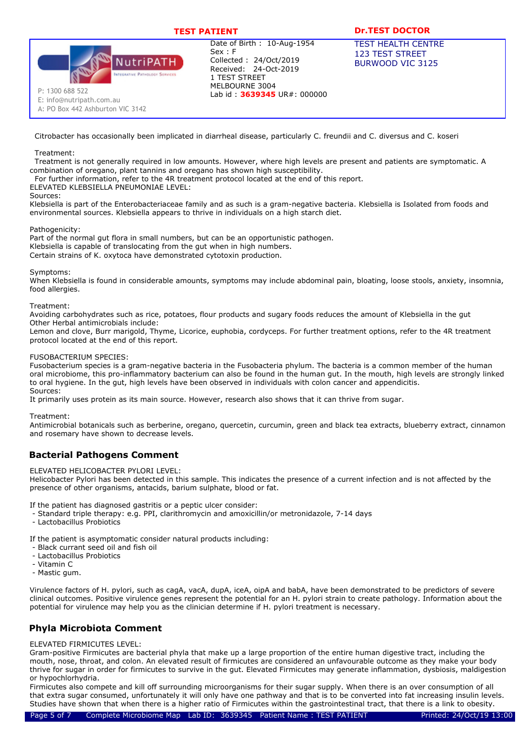

### **TEST PATIENT Dr.TEST DOCTOR**

TEST HEALTH CENTRE 123 TEST STREET BURWOOD VIC 3125

E: info@nutripath.com.au A: PO Box 442 Ashburton VIC 3142

Citrobacter has occasionally been implicated in diarrheal disease, particularly C. freundii and C. diversus and C. koseri

### Treatment:

 Treatment is not generally required in low amounts. However, where high levels are present and patients are symptomatic. A combination of oregano, plant tannins and oregano has shown high susceptibility.

For further information, refer to the 4R treatment protocol located at the end of this report.

ELEVATED KLEBSIELLA PNEUMONIAE LEVEL:

### Sources:

Klebsiella is part of the Enterobacteriaceae family and as such is a gram-negative bacteria. Klebsiella is Isolated from foods and environmental sources. Klebsiella appears to thrive in individuals on a high starch diet.

### Pathogenicity:

Part of the normal gut flora in small numbers, but can be an opportunistic pathogen. Klebsiella is capable of translocating from the gut when in high numbers. Certain strains of K. oxytoca have demonstrated cytotoxin production.

### Symptoms:

When Klebsiella is found in considerable amounts, symptoms may include abdominal pain, bloating, loose stools, anxiety, insomnia, food allergies.

### Treatment:

Avoiding carbohydrates such as rice, potatoes, flour products and sugary foods reduces the amount of Klebsiella in the gut Other Herbal antimicrobials include:

Lemon and clove, Burr marigold, Thyme, Licorice, euphobia, cordyceps. For further treatment options, refer to the 4R treatment protocol located at the end of this report.

### FUSOBACTERIUM SPECIES:

Fusobacterium species is a gram-negative bacteria in the Fusobacteria phylum. The bacteria is a common member of the human oral microbiome, this pro-inflammatory bacterium can also be found in the human gut. In the mouth, high levels are strongly linked to oral hygiene. In the gut, high levels have been observed in individuals with colon cancer and appendicitis. Sources:

It primarily uses protein as its main source. However, research also shows that it can thrive from sugar.

Treatment:

Antimicrobial botanicals such as berberine, oregano, quercetin, curcumin, green and black tea extracts, blueberry extract, cinnamon and rosemary have shown to decrease levels.

### **Bacterial Pathogens Comment**

### ELEVATED HELICOBACTER PYLORI LEVEL:

Helicobacter Pylori has been detected in this sample. This indicates the presence of a current infection and is not affected by the presence of other organisms, antacids, barium sulphate, blood or fat.

If the patient has diagnosed gastritis or a peptic ulcer consider:

- Standard triple therapy: e.g. PPI, clarithromycin and amoxicillin/or metronidazole, 7-14 days
- Lactobacillus Probiotics

If the patient is asymptomatic consider natural products including:

- Black currant seed oil and fish oil
- Lactobacillus Probiotics
- Vitamin C
- Mastic gum.

Virulence factors of H. pylori, such as cagA, vacA, dupA, iceA, oipA and babA, have been demonstrated to be predictors of severe clinical outcomes. Positive virulence genes represent the potential for an H. pylori strain to create pathology. Information about the potential for virulence may help you as the clinician determine if H. pylori treatment is necessary.

### **Phyla Microbiota Comment**

### ELEVATED FIRMICUTES LEVEL:

Gram-positive Firmicutes are bacterial phyla that make up a large proportion of the entire human digestive tract, including the mouth, nose, throat, and colon. An elevated result of firmicutes are considered an unfavourable outcome as they make your body thrive for sugar in order for firmicutes to survive in the gut. Elevated Firmicutes may generate inflammation, dysbiosis, maldigestion or hypochlorhydria.

Firmicutes also compete and kill off surrounding microorganisms for their sugar supply. When there is an over consumption of all that extra sugar consumed, unfortunately it will only have one pathway and that is to be converted into fat increasing insulin levels. Studies have shown that when there is a higher ratio of Firmicutes within the gastrointestinal tract, that there is a link to obesity.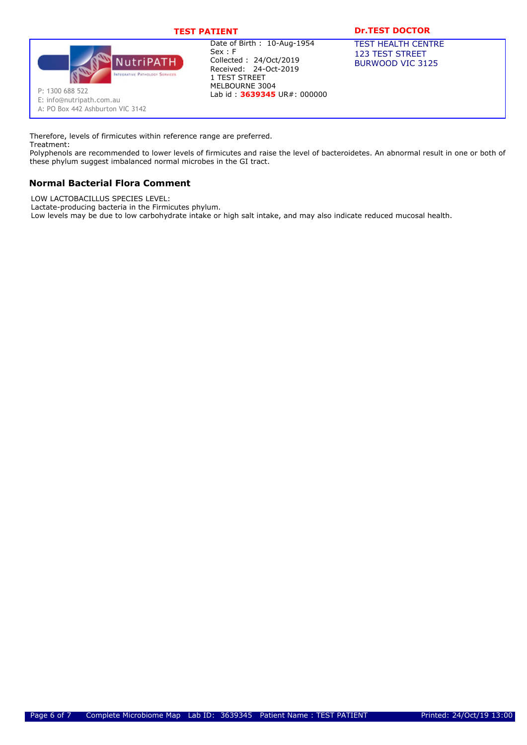

### **TEST PATIENT Dr.TEST DOCTOR**

TEST HEALTH CENTRE 123 TEST STREET BURWOOD VIC 3125

E: info@nutripath.com.au A: PO Box 442 Ashburton VIC 3142

Therefore, levels of firmicutes within reference range are preferred.

Treatment:

Polyphenols are recommended to lower levels of firmicutes and raise the level of bacteroidetes. An abnormal result in one or both of these phylum suggest imbalanced normal microbes in the GI tract.

### **Normal Bacterial Flora Comment**

LOW LACTOBACILLUS SPECIES LEVEL:

Lactate-producing bacteria in the Firmicutes phylum.

Low levels may be due to low carbohydrate intake or high salt intake, and may also indicate reduced mucosal health.